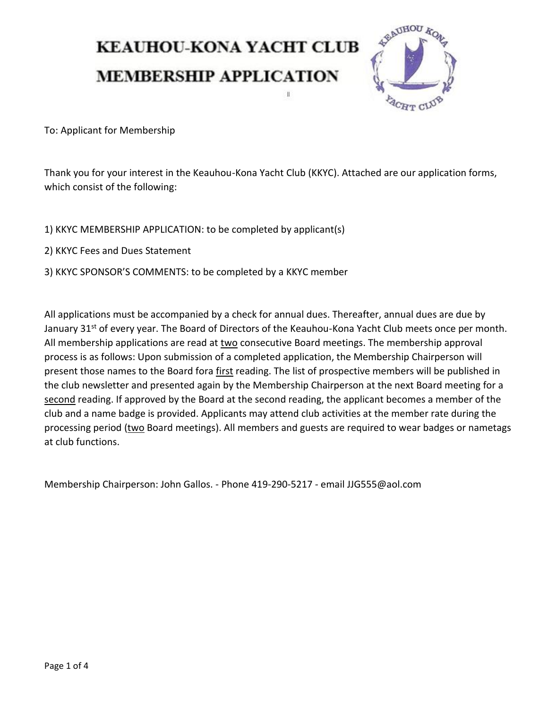## **KEAUHOU-KONA YACHT CLUB MEMBERSHIP APPLICATION**



To: Applicant for Membership

Thank you for your interest in the Keauhou-Kona Yacht Club (KKYC). Attached are our application forms, which consist of the following:

- 1) KKYC MEMBERSHIP APPLICATION: to be completed by applicant(s)
- 2) KKYC Fees and Dues Statement
- 3) KKYC SPONSOR'S COMMENTS: to be completed by a KKYC member

All applications must be accompanied by a check for annual dues. Thereafter, annual dues are due by January 31<sup>st</sup> of every year. The Board of Directors of the Keauhou-Kona Yacht Club meets once per month. All membership applications are read at two consecutive Board meetings. The membership approval process is as follows: Upon submission of a completed application, the Membership Chairperson will present those names to the Board fora first reading. The list of prospective members will be published in the club newsletter and presented again by the Membership Chairperson at the next Board meeting for a second reading. If approved by the Board at the second reading, the applicant becomes a member of the club and a name badge is provided. Applicants may attend club activities at the member rate during the processing period (two Board meetings). All members and guests are required to wear badges or nametags at club functions.

Membership Chairperson: John Gallos. - Phone 419-290-5217 - email JJG555@aol.com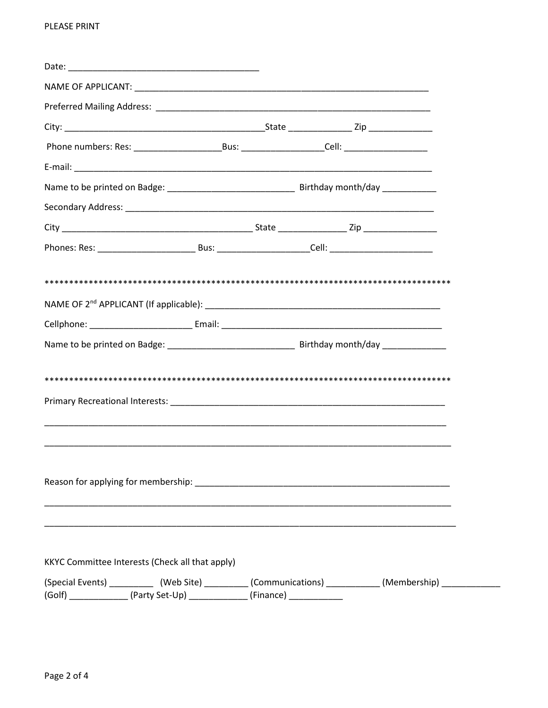| KKYC Committee Interests (Check all that apply)                                                          |  |  |
|----------------------------------------------------------------------------------------------------------|--|--|
| (Special Events) ____________ (Web Site) __________ (Communications) ___________ (Membership) __________ |  |  |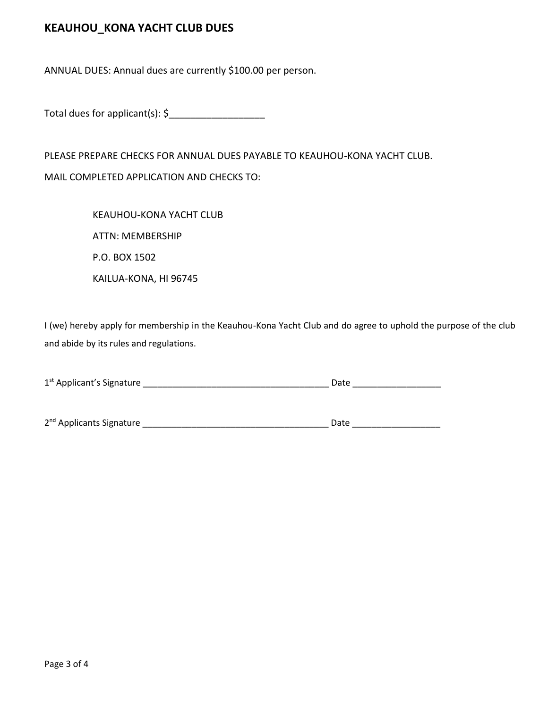## **KEAUHOU\_KONA YACHT CLUB DUES**

ANNUAL DUES: Annual dues are currently \$100.00 per person.

Total dues for applicant(s):  $\oint$ 

PLEASE PREPARE CHECKS FOR ANNUAL DUES PAYABLE TO KEAUHOU-KONA YACHT CLUB.

MAIL COMPLETED APPLICATION AND CHECKS TO:

KEAUHOU-KONA YACHT CLUB ATTN: MEMBERSHIP P.O. BOX 1502 KAILUA-KONA, HI 96745

I (we) hereby apply for membership in the Keauhou-Kona Yacht Club and do agree to uphold the purpose of the club and abide by its rules and regulations.

| 1 <sup>st</sup> Applicant's Signature | Date |  |  |  |
|---------------------------------------|------|--|--|--|
|                                       |      |  |  |  |
|                                       |      |  |  |  |
| 2 <sup>nd</sup> Applicants Signature  | Date |  |  |  |